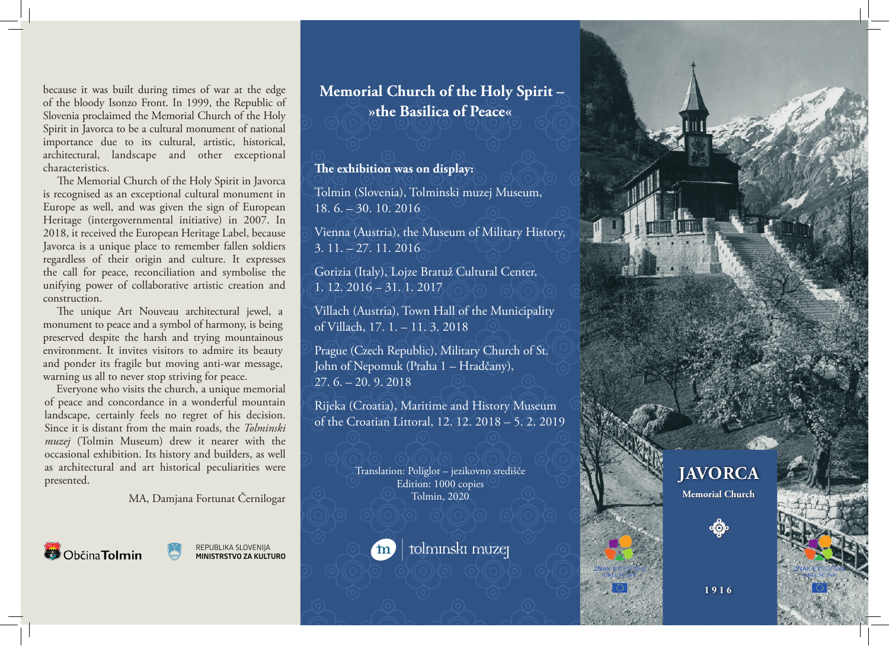because it was built during times of war at the edge of the bloody Isonzo Front. In 1999, the Republic of Slovenia proclaimed the Memorial Church of the Holy Spirit in Javorca to be a cultural monument of national importance due to its cultural, artistic, historical, architectural, landscape and other exceptional characteristics.

 The Memorial Church of the Holy Spirit in Javorca is recognised as an exceptional cultural monument in Europe as well, and was given the sign of European Heritage (intergovernmental initiative) in 2007. In 2018, it received the European Heritage Label, because Javorca is a unique place to remember fallen soldiers regardless of their origin and culture. It expresses the call for peace, reconciliation and symbolise the unifying power of collaborative artistic creation and construction.

 The unique Art Nouveau architectural jewel, a monument to peace and a symbol of harmony, is being preserved despite the harsh and trying mountainous environment. It invites visitors to admire its beauty and ponder its fragile but moving anti-war message, warning us all to never stop striving for peace.

 Everyone who visits the church, a unique memorial of peace and concordance in a wonderful mountain landscape, certainly feels no regret of his decision. Since it is distant from the main roads, the *Tolminski muzej* (Tolmin Museum) drew it nearer with the occasional exhibition. Its history and builders, as well as architectural and art historical peculiarities were presented.

MA, Damjana Fortunat Černilogar



REPUBLIKA SLOVENIJA **MINISTRSTVO ZA KULTURO**

## **Memorial Church of the Holy Spirit – »the Basilica of Peace«**

## **The exhibition was on display:**

Tolmin (Slovenia), Tolminski muzej Museum, 18. 6. – 30. 10. 2016

Vienna (Austria), the Museum of Military History, 3. 11. – 27. 11. 2016

Gorizia (Italy), Lojze Bratuž Cultural Center, 1. 12. 2016 – 31. 1. 2017

Villach (Austria), Town Hall of the Municipality of Villach, 17. 1. – 11. 3. 2018

Prague (Czech Republic), Military Church of St. John of Nepomuk (Praha 1 – Hradčany), 27. 6. – 20. 9. 2018

Rijeka (Croatia), Maritime and History Museum of the Croatian Littoral, 12. 12. 2018 – 5. 2. 2019

> Translation: Poliglot – jezikovno središče Edition: 1000 copies Tolmin, 2020